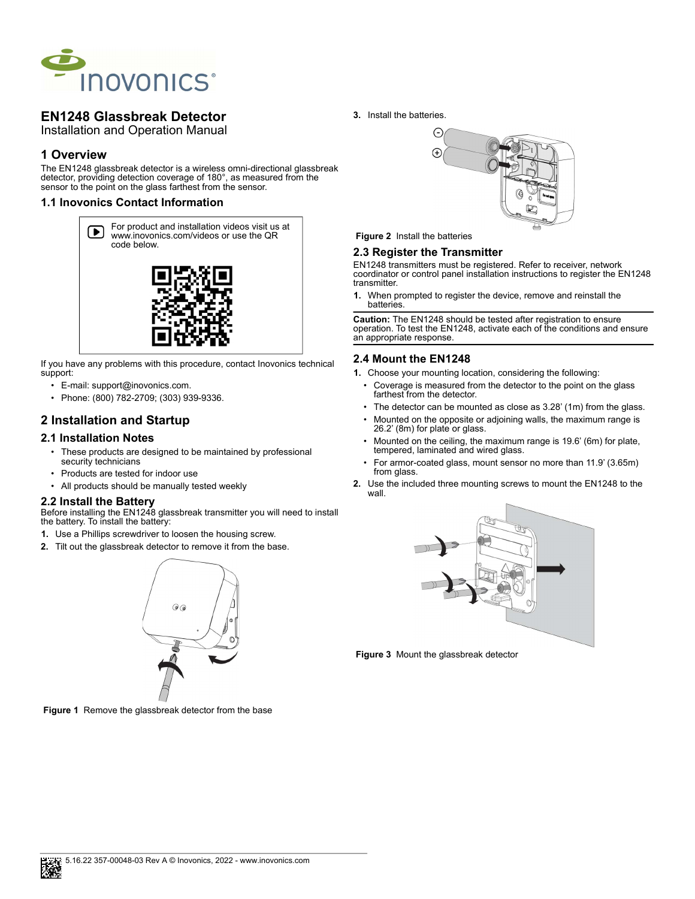

# **EN1248 Glassbreak Detector**

Installation and Operation Manual

## **1 Overview**

The EN1248 glassbreak detector is a wireless omni-directional glassbreak detector, providing detection coverage of 180°, as measured from the sensor to the point on the glass farthest from the sensor.

### **1.1 Inovonics Contact Information**



If you have any problems with this procedure, contact Inovonics technical support:

- E-mail: support@inovonics.com.
- Phone: (800) 782-2709; (303) 939-9336.

# **2 Installation and Startup**

### **2.1 Installation Notes**

- These products are designed to be maintained by professional security technicians
- Products are tested for indoor use
- All products should be manually tested weekly

#### **2.2 Install the Battery**

Before installing the EN1248 glassbreak transmitter you will need to install the battery. To install the battery:

- **1.** Use a Phillips screwdriver to loosen the housing screw.
- **2.** Tilt out the glassbreak detector to remove it from the base.



 **Figure 1** Remove the glassbreak detector from the base

**3.** Install the batteries.



 **Figure 2** Install the batteries

### **2.3 Register the Transmitter**

EN1248 transmitters must be registered. Refer to receiver, network coordinator or control panel installation instructions to register the EN1248 transmitter.

**1.** When prompted to register the device, remove and reinstall the batteries.

**Caution:** The EN1248 should be tested after registration to ensure operation. To test the EN1248, activate each of the conditions and ensure an appropriate response.

## **2.4 Mount the EN1248**

**1.** Choose your mounting location, considering the following:

- Coverage is measured from the detector to the point on the glass farthest from the detector.
- The detector can be mounted as close as 3.28' (1m) from the glass.
- Mounted on the opposite or adjoining walls, the maximum range is 26.2' (8m) for plate or glass.
- Mounted on the ceiling, the maximum range is 19.6' (6m) for plate, tempered, laminated and wired glass.
- For armor-coated glass, mount sensor no more than 11.9' (3.65m) from glass.
- **2.** Use the included three mounting screws to mount the EN1248 to the wall.



 **Figure 3** Mount the glassbreak detector